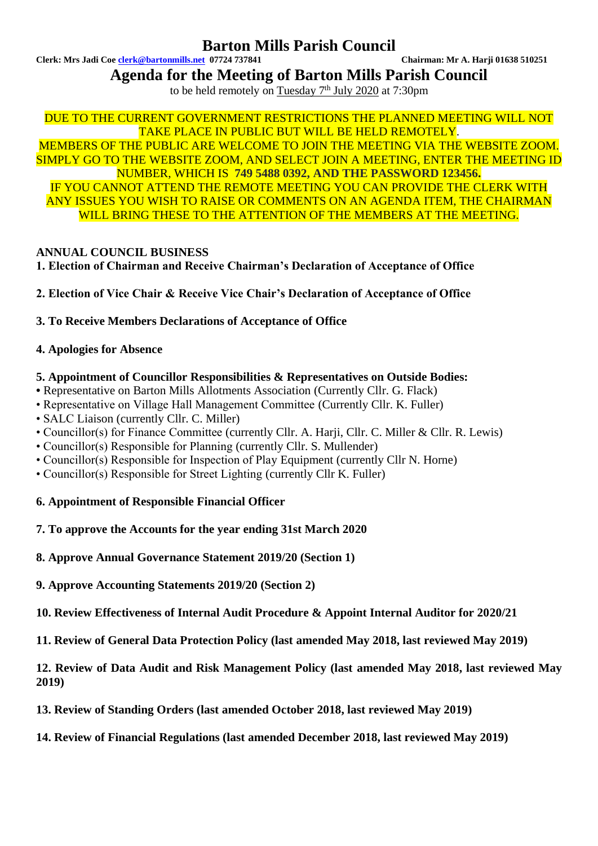## **Barton Mills Parish Council**

**Clerk: Mrs Jadi Coe [clerk@bartonmills.net](mailto:clerk@bartonmills.net) 07724 737841 Chairman: Mr A. Harji 01638 510251**

**Agenda for the Meeting of Barton Mills Parish Council**

to be held remotely on Tuesday  $7<sup>th</sup>$  July 2020 at 7:30pm

DUE TO THE CURRENT GOVERNMENT RESTRICTIONS THE PLANNED MEETING WILL NOT TAKE PLACE IN PUBLIC BUT WILL BE HELD REMOTELY.

MEMBERS OF THE PUBLIC ARE WELCOME TO JOIN THE MEETING VIA THE WEBSITE ZOOM. SIMPLY GO TO THE WEBSITE ZOOM, AND SELECT JOIN A MEETING, ENTER THE MEETING ID NUMBER, WHICH IS **749 5488 0392, AND THE PASSWORD 123456.** IF YOU CANNOT ATTEND THE REMOTE MEETING YOU CAN PROVIDE THE CLERK WITH ANY ISSUES YOU WISH TO RAISE OR COMMENTS ON AN AGENDA ITEM, THE CHAIRMAN WILL BRING THESE TO THE ATTENTION OF THE MEMBERS AT THE MEETING.

### **ANNUAL COUNCIL BUSINESS**

- **1. Election of Chairman and Receive Chairman's Declaration of Acceptance of Office**
- **2. Election of Vice Chair & Receive Vice Chair's Declaration of Acceptance of Office**
- **3. To Receive Members Declarations of Acceptance of Office**

## **4. Apologies for Absence**

### **5. Appointment of Councillor Responsibilities & Representatives on Outside Bodies:**

- Representative on Barton Mills Allotments Association (Currently Cllr. G. Flack)
- Representative on Village Hall Management Committee (Currently Cllr. K. Fuller)
- SALC Liaison (currently Cllr. C. Miller)
- Councillor(s) for Finance Committee (currently Cllr. A. Harji, Cllr. C. Miller & Cllr. R. Lewis)
- Councillor(s) Responsible for Planning (currently Cllr. S. Mullender)
- Councillor(s) Responsible for Inspection of Play Equipment (currently Cllr N. Horne)
- Councillor(s) Responsible for Street Lighting (currently Cllr K. Fuller)

## **6. Appointment of Responsible Financial Officer**

- **7. To approve the Accounts for the year ending 31st March 2020**
- **8. Approve Annual Governance Statement 2019/20 (Section 1)**
- **9. Approve Accounting Statements 2019/20 (Section 2)**
- **10. Review Effectiveness of Internal Audit Procedure & Appoint Internal Auditor for 2020/21**
- **11. Review of General Data Protection Policy (last amended May 2018, last reviewed May 2019)**

**12. Review of Data Audit and Risk Management Policy (last amended May 2018, last reviewed May 2019)**

- **13. Review of Standing Orders (last amended October 2018, last reviewed May 2019)**
- **14. Review of Financial Regulations (last amended December 2018, last reviewed May 2019)**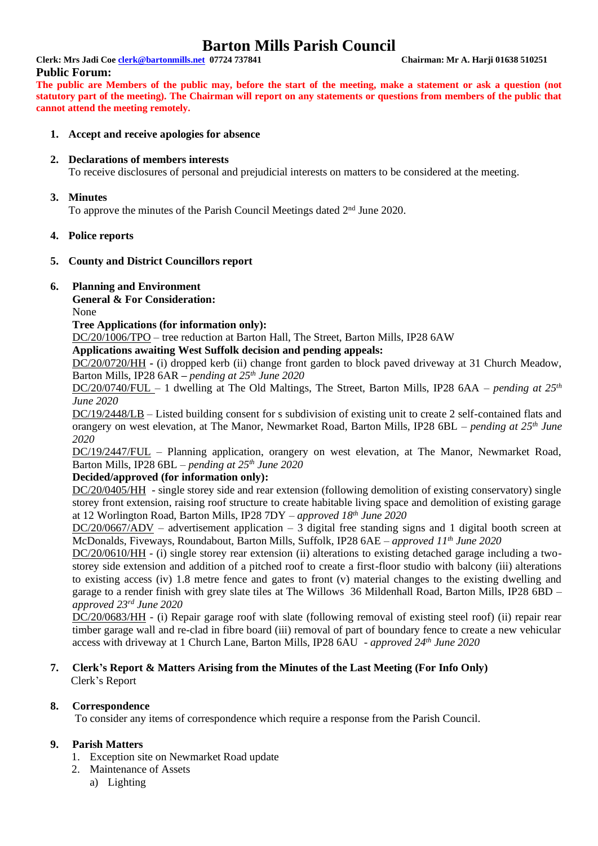## **Barton Mills Parish Council**

**Clerk: Mrs Jadi Coe [clerk@bartonmills.net](mailto:clerk@bartonmills.net) 07724 737841 Chairman: Mr A. Harji 01638 510251**

#### **Public Forum:**

**The public are Members of the public may, before the start of the meeting, make a statement or ask a question (not statutory part of the meeting). The Chairman will report on any statements or questions from members of the public that cannot attend the meeting remotely.**

#### **1. Accept and receive apologies for absence**

#### **2. Declarations of members interests**

To receive disclosures of personal and prejudicial interests on matters to be considered at the meeting.

#### **3. Minutes**

To approve the minutes of the Parish Council Meetings dated 2<sup>nd</sup> June 2020.

#### **4. Police reports**

#### **5. County and District Councillors report**

#### **6. Planning and Environment**

#### **General & For Consideration:**

None

#### **Tree Applications (for information only):**

DC/20/1006/TPO – tree reduction at Barton Hall, The Street, Barton Mills, IP28 6AW

#### **Applications awaiting West Suffolk decision and pending appeals:**

DC/20/0720/HH **-** (i) dropped kerb (ii) change front garden to block paved driveway at 31 Church Meadow, Barton Mills, IP28 6AR *– pending at 25th June 2020*

DC/20/0740/FUL – 1 dwelling at The Old Maltings, The Street, Barton Mills, IP28 6AA – *pending at 25th June 2020*

DC/19/2448/LB – Listed building consent for s subdivision of existing unit to create 2 self-contained flats and orangery on west elevation, at The Manor, Newmarket Road, Barton Mills, IP28 6BL – *pending at 25<sup>th</sup>* June *2020*

DC/19/2447/FUL – Planning application, orangery on west elevation, at The Manor, Newmarket Road, Barton Mills, IP28 6BL *– pending at 25 th June 2020*

#### **Decided/approved (for information only):**

DC/20/0405/HH - single storey side and rear extension (following demolition of existing conservatory) single storey front extension, raising roof structure to create habitable living space and demolition of existing garage at 12 Worlington Road, Barton Mills, IP28 7DY *– approved 18th June 2020*

DC/20/0667/ADV – advertisement application – 3 digital free standing signs and 1 digital booth screen at McDonalds, Fiveways, Roundabout, Barton Mills, Suffolk, IP28 6AE – *approved 11th June 2020*

DC/20/0610/HH - (i) single storey rear extension (ii) alterations to existing detached garage including a twostorey side extension and addition of a pitched roof to create a first-floor studio with balcony (iii) alterations to existing access (iv) 1.8 metre fence and gates to front (v) material changes to the existing dwelling and garage to a render finish with grey slate tiles at The Willows 36 Mildenhall Road, Barton Mills, IP28 6BD – *approved 23rd June 2020*

DC/20/0683/HH - (i) Repair garage roof with slate (following removal of existing steel roof) (ii) repair rear timber garage wall and re-clad in fibre board (iii) removal of part of boundary fence to create a new vehicular access with driveway at 1 Church Lane, Barton Mills, IP28 6AU *- approved 24th June 2020*

#### **7. Clerk's Report & Matters Arising from the Minutes of the Last Meeting (For Info Only)** Clerk's Report

#### **8. Correspondence**

To consider any items of correspondence which require a response from the Parish Council.

#### **9. Parish Matters**

- 1. Exception site on Newmarket Road update
- 2. Maintenance of Assets
	- a) Lighting